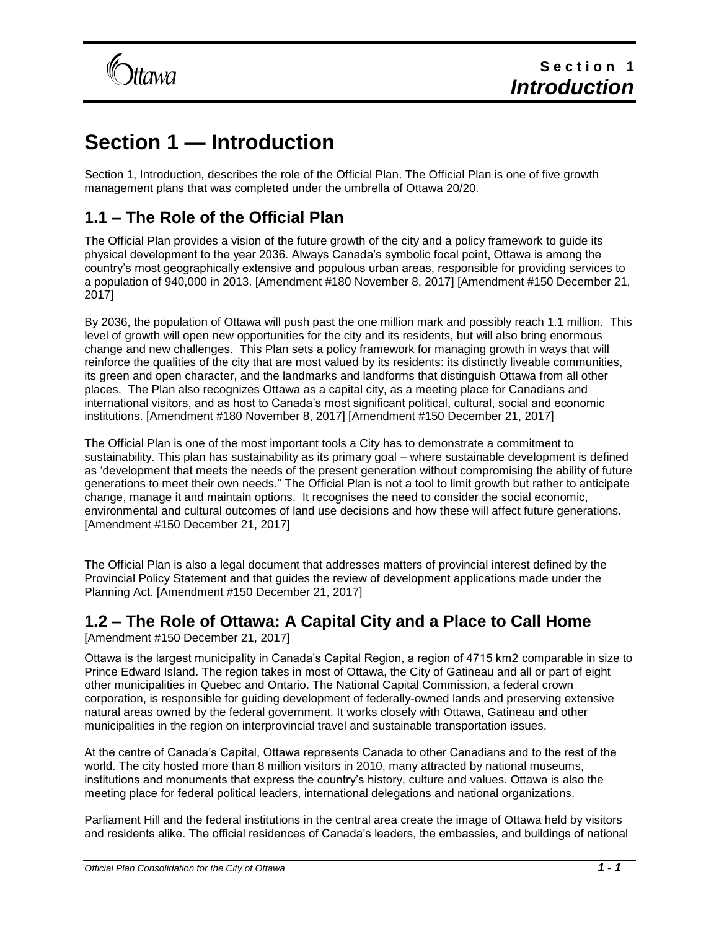

# **Section 1 — Introduction**

Section 1, Introduction, describes the role of the Official Plan. The Official Plan is one of five growth management plans that was completed under the umbrella of Ottawa 20/20.

# **1.1 – The Role of the Official Plan**

The Official Plan provides a vision of the future growth of the city and a policy framework to guide its physical development to the year 2036. Always Canada's symbolic focal point, Ottawa is among the country's most geographically extensive and populous urban areas, responsible for providing services to a population of 940,000 in 2013. [Amendment #180 November 8, 2017] [Amendment #150 December 21, 2017]

By 2036, the population of Ottawa will push past the one million mark and possibly reach 1.1 million. This level of growth will open new opportunities for the city and its residents, but will also bring enormous change and new challenges. This Plan sets a policy framework for managing growth in ways that will reinforce the qualities of the city that are most valued by its residents: its distinctly liveable communities, its green and open character, and the landmarks and landforms that distinguish Ottawa from all other places. The Plan also recognizes Ottawa as a capital city, as a meeting place for Canadians and international visitors, and as host to Canada's most significant political, cultural, social and economic institutions. [Amendment #180 November 8, 2017] [Amendment #150 December 21, 2017]

The Official Plan is one of the most important tools a City has to demonstrate a commitment to sustainability. This plan has sustainability as its primary goal – where sustainable development is defined as 'development that meets the needs of the present generation without compromising the ability of future generations to meet their own needs." The Official Plan is not a tool to limit growth but rather to anticipate change, manage it and maintain options. It recognises the need to consider the social economic, environmental and cultural outcomes of land use decisions and how these will affect future generations. [Amendment #150 December 21, 2017]

The Official Plan is also a legal document that addresses matters of provincial interest defined by the Provincial Policy Statement and that guides the review of development applications made under the Planning Act. [Amendment #150 December 21, 2017]

# **1.2 – The Role of Ottawa: A Capital City and a Place to Call Home**

[Amendment #150 December 21, 2017]

Ottawa is the largest municipality in Canada's Capital Region, a region of 4715 km2 comparable in size to Prince Edward Island. The region takes in most of Ottawa, the City of Gatineau and all or part of eight other municipalities in Quebec and Ontario. The National Capital Commission, a federal crown corporation, is responsible for guiding development of federally-owned lands and preserving extensive natural areas owned by the federal government. It works closely with Ottawa, Gatineau and other municipalities in the region on interprovincial travel and sustainable transportation issues.

At the centre of Canada's Capital, Ottawa represents Canada to other Canadians and to the rest of the world. The city hosted more than 8 million visitors in 2010, many attracted by national museums, institutions and monuments that express the country's history, culture and values. Ottawa is also the meeting place for federal political leaders, international delegations and national organizations.

Parliament Hill and the federal institutions in the central area create the image of Ottawa held by visitors and residents alike. The official residences of Canada's leaders, the embassies, and buildings of national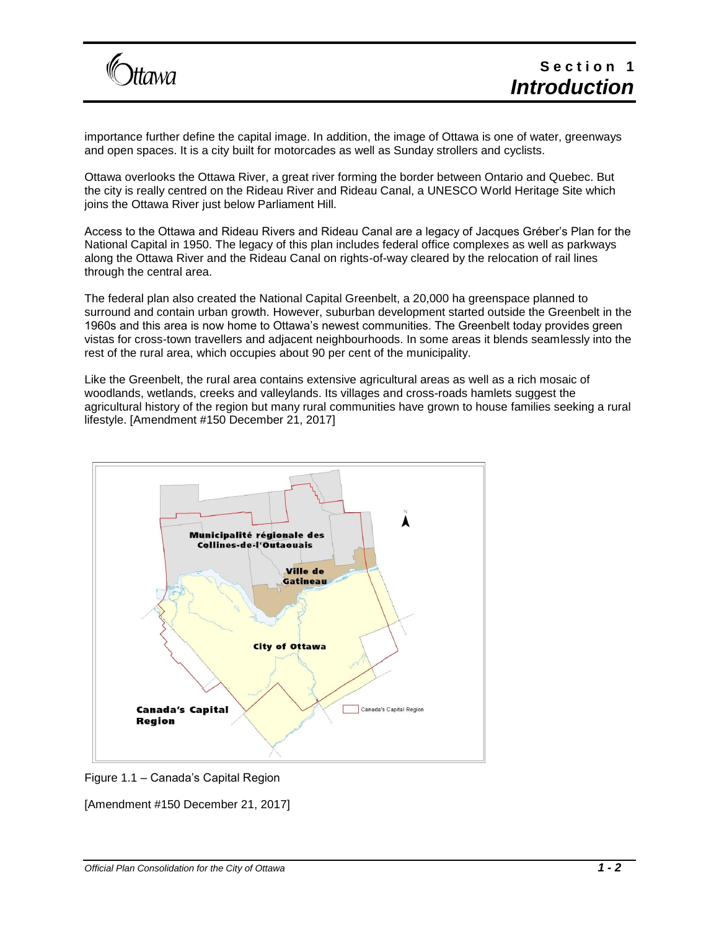

importance further define the capital image. In addition, the image of Ottawa is one of water, greenways and open spaces. It is a city built for motorcades as well as Sunday strollers and cyclists.

Ottawa overlooks the Ottawa River, a great river forming the border between Ontario and Quebec. But the city is really centred on the Rideau River and Rideau Canal, a UNESCO World Heritage Site which joins the Ottawa River just below Parliament Hill.

Access to the Ottawa and Rideau Rivers and Rideau Canal are a legacy of Jacques Gréber's Plan for the National Capital in 1950. The legacy of this plan includes federal office complexes as well as parkways along the Ottawa River and the Rideau Canal on rights-of-way cleared by the relocation of rail lines through the central area.

The federal plan also created the National Capital Greenbelt, a 20,000 ha greenspace planned to surround and contain urban growth. However, suburban development started outside the Greenbelt in the 1960s and this area is now home to Ottawa's newest communities. The Greenbelt today provides green vistas for cross-town travellers and adjacent neighbourhoods. In some areas it blends seamlessly into the rest of the rural area, which occupies about 90 per cent of the municipality.

Like the Greenbelt, the rural area contains extensive agricultural areas as well as a rich mosaic of woodlands, wetlands, creeks and valleylands. Its villages and cross-roads hamlets suggest the agricultural history of the region but many rural communities have grown to house families seeking a rural lifestyle. [Amendment #150 December 21, 2017]



Figure 1.1 – Canada's Capital Region

[Amendment #150 December 21, 2017]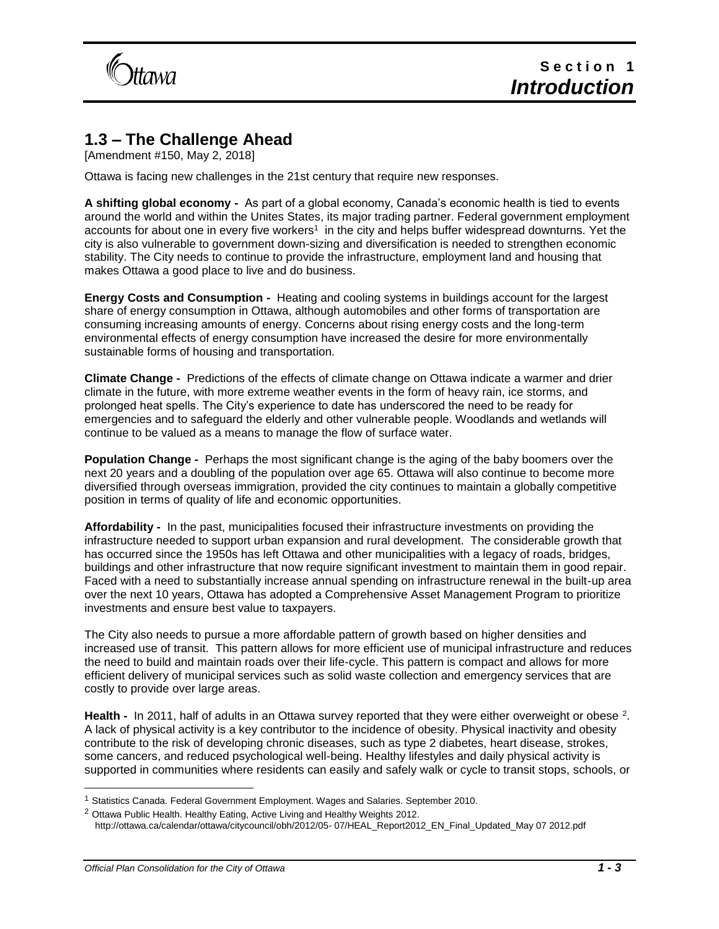

# **1.3 – The Challenge Ahead**

[Amendment #150, May 2, 2018]

Ottawa is facing new challenges in the 21st century that require new responses.

**A shifting global economy -** As part of a global economy, Canada's economic health is tied to events around the world and within the Unites States, its major trading partner. Federal government employment accounts for about one in every five workers<sup>1</sup> in the city and helps buffer widespread downturns. Yet the city is also vulnerable to government down-sizing and diversification is needed to strengthen economic stability. The City needs to continue to provide the infrastructure, employment land and housing that makes Ottawa a good place to live and do business.

**Energy Costs and Consumption -** Heating and cooling systems in buildings account for the largest share of energy consumption in Ottawa, although automobiles and other forms of transportation are consuming increasing amounts of energy. Concerns about rising energy costs and the long-term environmental effects of energy consumption have increased the desire for more environmentally sustainable forms of housing and transportation.

**Climate Change -** Predictions of the effects of climate change on Ottawa indicate a warmer and drier climate in the future, with more extreme weather events in the form of heavy rain, ice storms, and prolonged heat spells. The City's experience to date has underscored the need to be ready for emergencies and to safeguard the elderly and other vulnerable people. Woodlands and wetlands will continue to be valued as a means to manage the flow of surface water.

**Population Change -** Perhaps the most significant change is the aging of the baby boomers over the next 20 years and a doubling of the population over age 65. Ottawa will also continue to become more diversified through overseas immigration, provided the city continues to maintain a globally competitive position in terms of quality of life and economic opportunities.

**Affordability -** In the past, municipalities focused their infrastructure investments on providing the infrastructure needed to support urban expansion and rural development. The considerable growth that has occurred since the 1950s has left Ottawa and other municipalities with a legacy of roads, bridges, buildings and other infrastructure that now require significant investment to maintain them in good repair. Faced with a need to substantially increase annual spending on infrastructure renewal in the built-up area over the next 10 years, Ottawa has adopted a Comprehensive Asset Management Program to prioritize investments and ensure best value to taxpayers.

The City also needs to pursue a more affordable pattern of growth based on higher densities and increased use of transit. This pattern allows for more efficient use of municipal infrastructure and reduces the need to build and maintain roads over their life-cycle. This pattern is compact and allows for more efficient delivery of municipal services such as solid waste collection and emergency services that are costly to provide over large areas.

Health - In 2011, half of adults in an Ottawa survey reported that they were either overweight or obese <sup>2</sup>. A lack of physical activity is a key contributor to the incidence of obesity. Physical inactivity and obesity contribute to the risk of developing chronic diseases, such as type 2 diabetes, heart disease, strokes, some cancers, and reduced psychological well-being. Healthy lifestyles and daily physical activity is supported in communities where residents can easily and safely walk or cycle to transit stops, schools, or

l

<sup>1</sup> Statistics Canada. Federal Government Employment. Wages and Salaries. September 2010.

<sup>&</sup>lt;sup>2</sup> Ottawa Public Health. Healthy Eating, Active Living and Healthy Weights 2012. http://ottawa.ca/calendar/ottawa/citycouncil/obh/2012/05- 07/HEAL\_Report2012\_EN\_Final\_Updated\_May 07 2012.pdf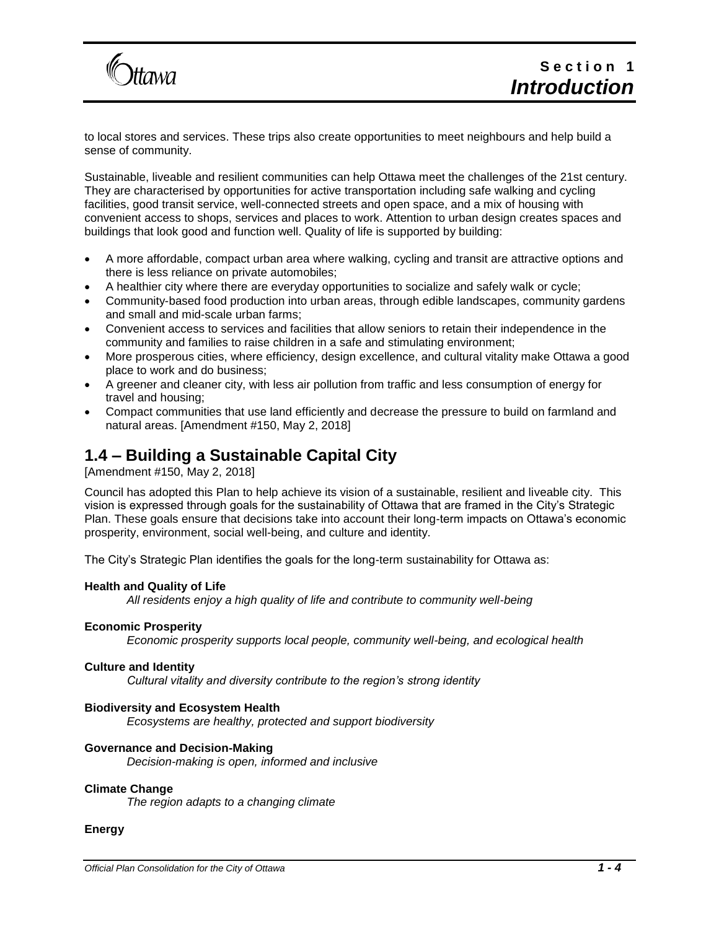

to local stores and services. These trips also create opportunities to meet neighbours and help build a sense of community.

Sustainable, liveable and resilient communities can help Ottawa meet the challenges of the 21st century. They are characterised by opportunities for active transportation including safe walking and cycling facilities, good transit service, well-connected streets and open space, and a mix of housing with convenient access to shops, services and places to work. Attention to urban design creates spaces and buildings that look good and function well. Quality of life is supported by building:

- A more affordable, compact urban area where walking, cycling and transit are attractive options and there is less reliance on private automobiles;
- A healthier city where there are everyday opportunities to socialize and safely walk or cycle;
- Community-based food production into urban areas, through edible landscapes, community gardens and small and mid-scale urban farms;
- Convenient access to services and facilities that allow seniors to retain their independence in the community and families to raise children in a safe and stimulating environment;
- More prosperous cities, where efficiency, design excellence, and cultural vitality make Ottawa a good place to work and do business;
- A greener and cleaner city, with less air pollution from traffic and less consumption of energy for travel and housing;
- Compact communities that use land efficiently and decrease the pressure to build on farmland and natural areas. [Amendment #150, May 2, 2018]

### **1.4 – Building a Sustainable Capital City**

[Amendment #150, May 2, 2018]

**Itawa** 

Council has adopted this Plan to help achieve its vision of a sustainable, resilient and liveable city. This vision is expressed through goals for the sustainability of Ottawa that are framed in the City's Strategic Plan. These goals ensure that decisions take into account their long-term impacts on Ottawa's economic prosperity, environment, social well-being, and culture and identity.

The City's Strategic Plan identifies the goals for the long-term sustainability for Ottawa as:

#### **Health and Quality of Life**

*All residents enjoy a high quality of life and contribute to community well-being*

#### **Economic Prosperity**

*Economic prosperity supports local people, community well-being, and ecological health*

#### **Culture and Identity**

*Cultural vitality and diversity contribute to the region's strong identity*

#### **Biodiversity and Ecosystem Health**

*Ecosystems are healthy, protected and support biodiversity*

#### **Governance and Decision-Making**

*Decision-making is open, informed and inclusive*

#### **Climate Change**

*The region adapts to a changing climate*

#### **Energy**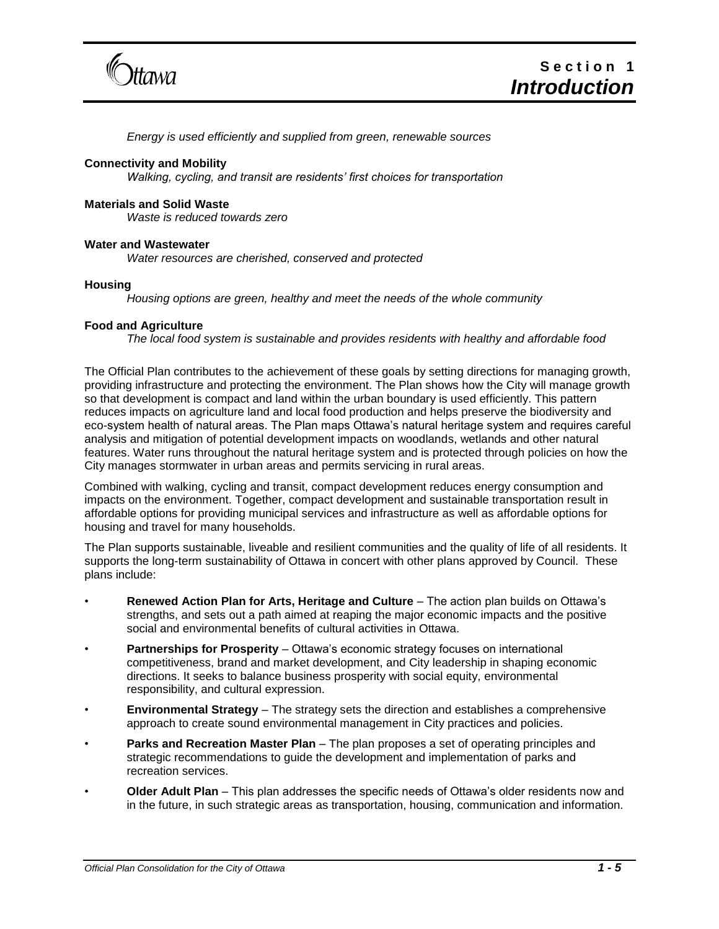

*Energy is used efficiently and supplied from green, renewable sources*

#### **Connectivity and Mobility**

*Walking, cycling, and transit are residents' first choices for transportation*

#### **Materials and Solid Waste**

*Waste is reduced towards zero*

#### **Water and Wastewater**

*Water resources are cherished, conserved and protected* 

#### **Housing**

*Housing options are green, healthy and meet the needs of the whole community*

#### **Food and Agriculture**

*The local food system is sustainable and provides residents with healthy and affordable food*

The Official Plan contributes to the achievement of these goals by setting directions for managing growth, providing infrastructure and protecting the environment. The Plan shows how the City will manage growth so that development is compact and land within the urban boundary is used efficiently. This pattern reduces impacts on agriculture land and local food production and helps preserve the biodiversity and eco-system health of natural areas. The Plan maps Ottawa's natural heritage system and requires careful analysis and mitigation of potential development impacts on woodlands, wetlands and other natural features. Water runs throughout the natural heritage system and is protected through policies on how the City manages stormwater in urban areas and permits servicing in rural areas.

Combined with walking, cycling and transit, compact development reduces energy consumption and impacts on the environment. Together, compact development and sustainable transportation result in affordable options for providing municipal services and infrastructure as well as affordable options for housing and travel for many households.

The Plan supports sustainable, liveable and resilient communities and the quality of life of all residents. It supports the long-term sustainability of Ottawa in concert with other plans approved by Council. These plans include:

- **Renewed Action Plan for Arts, Heritage and Culture** The action plan builds on Ottawa's strengths, and sets out a path aimed at reaping the major economic impacts and the positive social and environmental benefits of cultural activities in Ottawa.
- **Partnerships for Prosperity** Ottawa's economic strategy focuses on international competitiveness, brand and market development, and City leadership in shaping economic directions. It seeks to balance business prosperity with social equity, environmental responsibility, and cultural expression.
- **Environmental Strategy** The strategy sets the direction and establishes a comprehensive approach to create sound environmental management in City practices and policies.
- **Parks and Recreation Master Plan** The plan proposes a set of operating principles and strategic recommendations to guide the development and implementation of parks and recreation services.
- **Older Adult Plan** This plan addresses the specific needs of Ottawa's older residents now and in the future, in such strategic areas as transportation, housing, communication and information.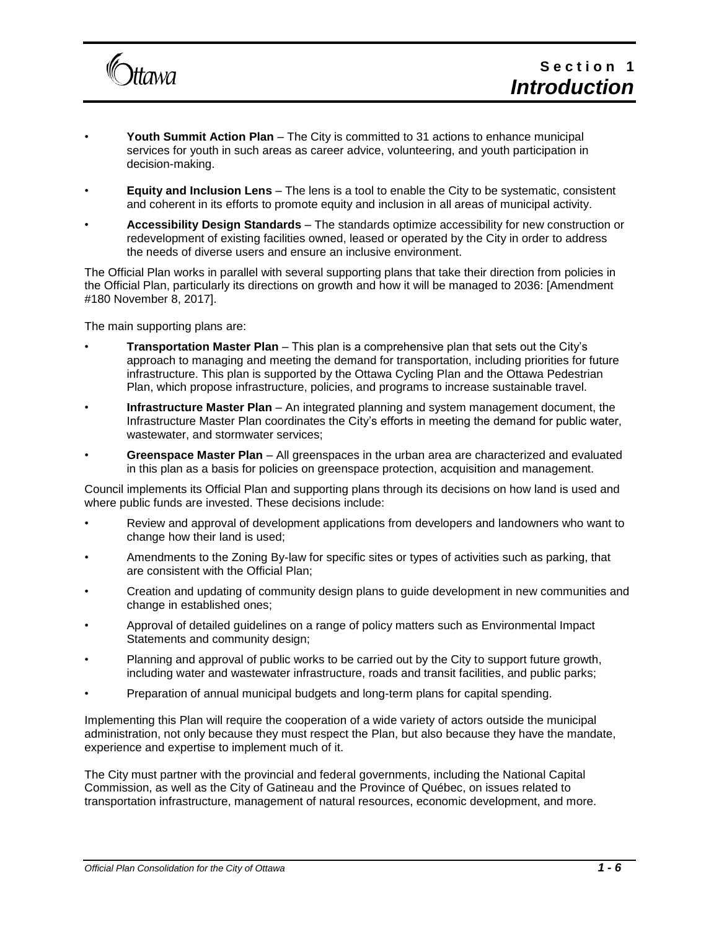

- **Youth Summit Action Plan** The City is committed to 31 actions to enhance municipal services for youth in such areas as career advice, volunteering, and youth participation in decision-making.
- **Equity and Inclusion Lens** The lens is a tool to enable the City to be systematic, consistent and coherent in its efforts to promote equity and inclusion in all areas of municipal activity.
- **Accessibility Design Standards** The standards optimize accessibility for new construction or redevelopment of existing facilities owned, leased or operated by the City in order to address the needs of diverse users and ensure an inclusive environment.

The Official Plan works in parallel with several supporting plans that take their direction from policies in the Official Plan, particularly its directions on growth and how it will be managed to 2036: [Amendment #180 November 8, 2017].

The main supporting plans are:

- **Transportation Master Plan** This plan is a comprehensive plan that sets out the City's approach to managing and meeting the demand for transportation, including priorities for future infrastructure. This plan is supported by the Ottawa Cycling Plan and the Ottawa Pedestrian Plan, which propose infrastructure, policies, and programs to increase sustainable travel.
- **Infrastructure Master Plan** An integrated planning and system management document, the Infrastructure Master Plan coordinates the City's efforts in meeting the demand for public water, wastewater, and stormwater services;
- **Greenspace Master Plan** All greenspaces in the urban area are characterized and evaluated in this plan as a basis for policies on greenspace protection, acquisition and management.

Council implements its Official Plan and supporting plans through its decisions on how land is used and where public funds are invested. These decisions include:

- Review and approval of development applications from developers and landowners who want to change how their land is used;
- Amendments to the Zoning By-law for specific sites or types of activities such as parking, that are consistent with the Official Plan;
- Creation and updating of community design plans to guide development in new communities and change in established ones;
- Approval of detailed guidelines on a range of policy matters such as Environmental Impact Statements and community design;
- Planning and approval of public works to be carried out by the City to support future growth, including water and wastewater infrastructure, roads and transit facilities, and public parks;
- Preparation of annual municipal budgets and long-term plans for capital spending.

Implementing this Plan will require the cooperation of a wide variety of actors outside the municipal administration, not only because they must respect the Plan, but also because they have the mandate, experience and expertise to implement much of it.

The City must partner with the provincial and federal governments, including the National Capital Commission, as well as the City of Gatineau and the Province of Québec, on issues related to transportation infrastructure, management of natural resources, economic development, and more.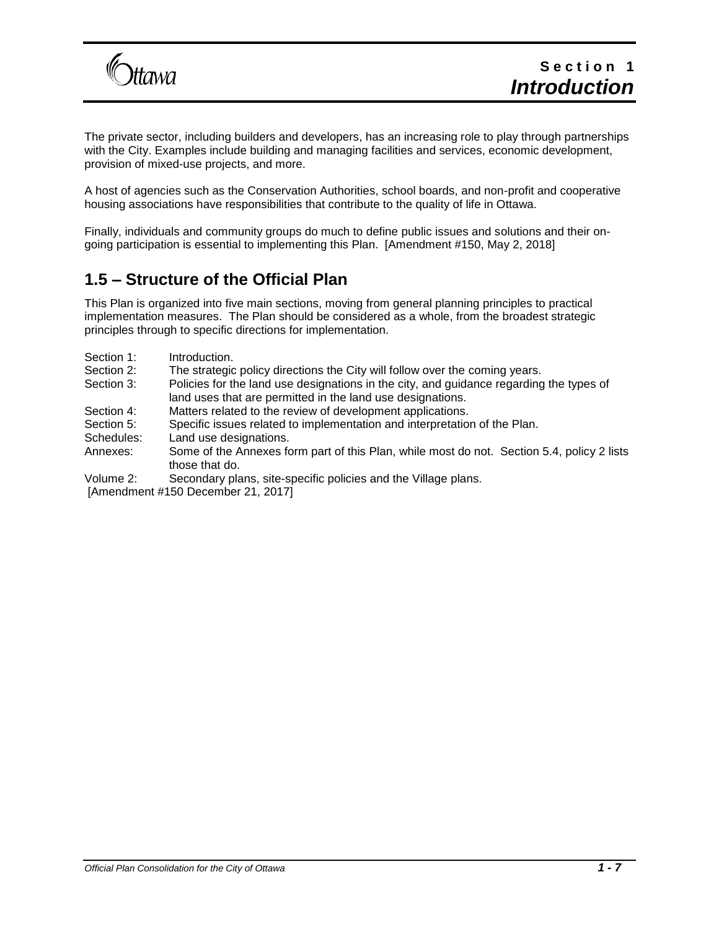

The private sector, including builders and developers, has an increasing role to play through partnerships with the City. Examples include building and managing facilities and services, economic development, provision of mixed-use projects, and more.

A host of agencies such as the Conservation Authorities, school boards, and non-profit and cooperative housing associations have responsibilities that contribute to the quality of life in Ottawa.

Finally, individuals and community groups do much to define public issues and solutions and their ongoing participation is essential to implementing this Plan. [Amendment #150, May 2, 2018]

# **1.5 – Structure of the Official Plan**

This Plan is organized into five main sections, moving from general planning principles to practical implementation measures. The Plan should be considered as a whole, from the broadest strategic principles through to specific directions for implementation.

- Section 1: Introduction.
- Section 2: The strategic policy directions the City will follow over the coming years.
- Section 3: Policies for the land use designations in the city, and guidance regarding the types of land uses that are permitted in the land use designations.
- Section 4: Matters related to the review of development applications.
- Section 5: Specific issues related to implementation and interpretation of the Plan.
- Schedules: Land use designations.
- Annexes: Some of the Annexes form part of this Plan, while most do not. Section 5.4, policy 2 lists those that do.
- Volume 2: Secondary plans, site-specific policies and the Village plans.

[Amendment #150 December 21, 2017]